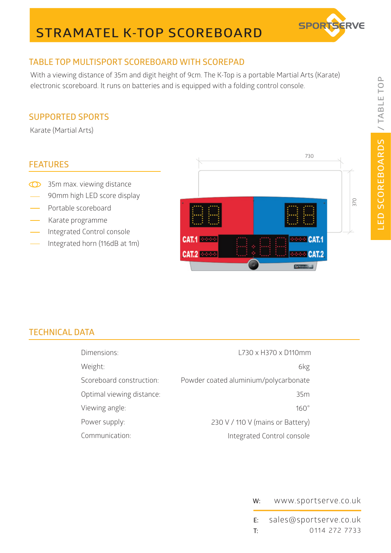# **STRAMATEL K-TOP SCOREBOARD**



## **TABLE TOP MULTISPORT SCOREBOARD WITH SCOREPAD**

With a viewing distance of 35m and digit height of 9cm. The K-Top is a portable Martial Arts (Karate) electronic scoreboard. It runs on batteries and is equipped with a folding control console.

### **SUPPORTED SPORTS**

Karate (Martial Arts)

### **FEATURES**

- <sup>35</sup>m max. viewing distance
- 90mm high LED score display
- Portable scoreboard
- Karate programme
- Integrated Control console
- Integrated horn (116dB at 1m)



## **TECHNICAL DATA**

| Dimensions:               | L730 x H370 x D110mm                  |
|---------------------------|---------------------------------------|
| Weight:                   | 6kg                                   |
| Scoreboard construction:  | Powder coated aluminium/polycarbonate |
| Optimal viewing distance: | 35m                                   |
| Viewing angle:            | $160^\circ$                           |
| Power supply:             | 230 V / 110 V (mains or Battery)      |
| Communication:            | Integrated Control console            |

### **W:** www.sportserve.co.uk

**E: T:** 0114 272 7733 sales@sportserve.co.uk